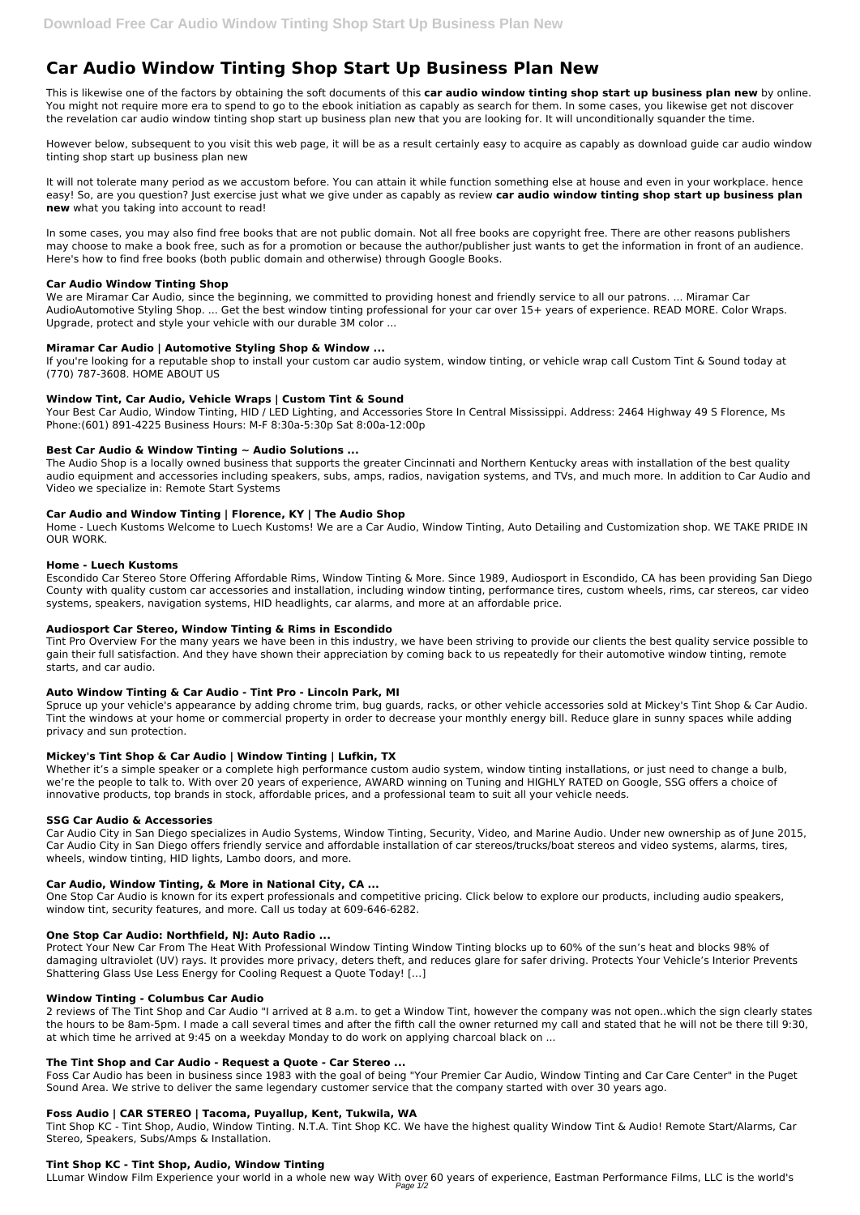# **Car Audio Window Tinting Shop Start Up Business Plan New**

This is likewise one of the factors by obtaining the soft documents of this **car audio window tinting shop start up business plan new** by online. You might not require more era to spend to go to the ebook initiation as capably as search for them. In some cases, you likewise get not discover the revelation car audio window tinting shop start up business plan new that you are looking for. It will unconditionally squander the time.

However below, subsequent to you visit this web page, it will be as a result certainly easy to acquire as capably as download guide car audio window tinting shop start up business plan new

It will not tolerate many period as we accustom before. You can attain it while function something else at house and even in your workplace. hence easy! So, are you question? Just exercise just what we give under as capably as review **car audio window tinting shop start up business plan new** what you taking into account to read!

In some cases, you may also find free books that are not public domain. Not all free books are copyright free. There are other reasons publishers may choose to make a book free, such as for a promotion or because the author/publisher just wants to get the information in front of an audience. Here's how to find free books (both public domain and otherwise) through Google Books.

# **Car Audio Window Tinting Shop**

We are Miramar Car Audio, since the beginning, we committed to providing honest and friendly service to all our patrons. ... Miramar Car AudioAutomotive Styling Shop. ... Get the best window tinting professional for your car over 15+ years of experience. READ MORE. Color Wraps. Upgrade, protect and style your vehicle with our durable 3M color ...

# **Miramar Car Audio | Automotive Styling Shop & Window ...**

If you're looking for a reputable shop to install your custom car audio system, window tinting, or vehicle wrap call Custom Tint & Sound today at (770) 787-3608. HOME ABOUT US

# **Window Tint, Car Audio, Vehicle Wraps | Custom Tint & Sound**

Your Best Car Audio, Window Tinting, HID / LED Lighting, and Accessories Store In Central Mississippi. Address: 2464 Highway 49 S Florence, Ms Phone:(601) 891-4225 Business Hours: M-F 8:30a-5:30p Sat 8:00a-12:00p

# **Best Car Audio & Window Tinting ~ Audio Solutions ...**

The Audio Shop is a locally owned business that supports the greater Cincinnati and Northern Kentucky areas with installation of the best quality audio equipment and accessories including speakers, subs, amps, radios, navigation systems, and TVs, and much more. In addition to Car Audio and Video we specialize in: Remote Start Systems

# **Car Audio and Window Tinting | Florence, KY | The Audio Shop**

Home - Luech Kustoms Welcome to Luech Kustoms! We are a Car Audio, Window Tinting, Auto Detailing and Customization shop. WE TAKE PRIDE IN OUR WORK.

## **Home - Luech Kustoms**

Escondido Car Stereo Store Offering Affordable Rims, Window Tinting & More. Since 1989, Audiosport in Escondido, CA has been providing San Diego County with quality custom car accessories and installation, including window tinting, performance tires, custom wheels, rims, car stereos, car video systems, speakers, navigation systems, HID headlights, car alarms, and more at an affordable price.

# **Audiosport Car Stereo, Window Tinting & Rims in Escondido**

Tint Pro Overview For the many years we have been in this industry, we have been striving to provide our clients the best quality service possible to gain their full satisfaction. And they have shown their appreciation by coming back to us repeatedly for their automotive window tinting, remote starts, and car audio.

## **Auto Window Tinting & Car Audio - Tint Pro - Lincoln Park, MI**

Spruce up your vehicle's appearance by adding chrome trim, bug guards, racks, or other vehicle accessories sold at Mickey's Tint Shop & Car Audio. Tint the windows at your home or commercial property in order to decrease your monthly energy bill. Reduce glare in sunny spaces while adding privacy and sun protection.

# **Mickey's Tint Shop & Car Audio | Window Tinting | Lufkin, TX**

Whether it's a simple speaker or a complete high performance custom audio system, window tinting installations, or just need to change a bulb, we're the people to talk to. With over 20 years of experience, AWARD winning on Tuning and HIGHLY RATED on Google, SSG offers a choice of innovative products, top brands in stock, affordable prices, and a professional team to suit all your vehicle needs.

# **SSG Car Audio & Accessories**

Car Audio City in San Diego specializes in Audio Systems, Window Tinting, Security, Video, and Marine Audio. Under new ownership as of June 2015, Car Audio City in San Diego offers friendly service and affordable installation of car stereos/trucks/boat stereos and video systems, alarms, tires, wheels, window tinting, HID lights, Lambo doors, and more.

# **Car Audio, Window Tinting, & More in National City, CA ...**

One Stop Car Audio is known for its expert professionals and competitive pricing. Click below to explore our products, including audio speakers, window tint, security features, and more. Call us today at 609-646-6282.

#### **One Stop Car Audio: Northfield, NJ: Auto Radio ...**

Protect Your New Car From The Heat With Professional Window Tinting Window Tinting blocks up to 60% of the sun's heat and blocks 98% of damaging ultraviolet (UV) rays. It provides more privacy, deters theft, and reduces glare for safer driving. Protects Your Vehicle's Interior Prevents Shattering Glass Use Less Energy for Cooling Request a Quote Today! […]

#### **Window Tinting - Columbus Car Audio**

2 reviews of The Tint Shop and Car Audio "I arrived at 8 a.m. to get a Window Tint, however the company was not open..which the sign clearly states the hours to be 8am-5pm. I made a call several times and after the fifth call the owner returned my call and stated that he will not be there till 9:30, at which time he arrived at 9:45 on a weekday Monday to do work on applying charcoal black on ...

#### **The Tint Shop and Car Audio - Request a Quote - Car Stereo ...**

Foss Car Audio has been in business since 1983 with the goal of being "Your Premier Car Audio, Window Tinting and Car Care Center" in the Puget Sound Area. We strive to deliver the same legendary customer service that the company started with over 30 years ago.

#### **Foss Audio | CAR STEREO | Tacoma, Puyallup, Kent, Tukwila, WA**

Tint Shop KC - Tint Shop, Audio, Window Tinting. N.T.A. Tint Shop KC. We have the highest quality Window Tint & Audio! Remote Start/Alarms, Car Stereo, Speakers, Subs/Amps & Installation.

#### **Tint Shop KC - Tint Shop, Audio, Window Tinting**

LLumar Window Film Experience your world in a whole new way With over 60 years of experience, Eastman Performance Films, LLC is the world's Page 1/2